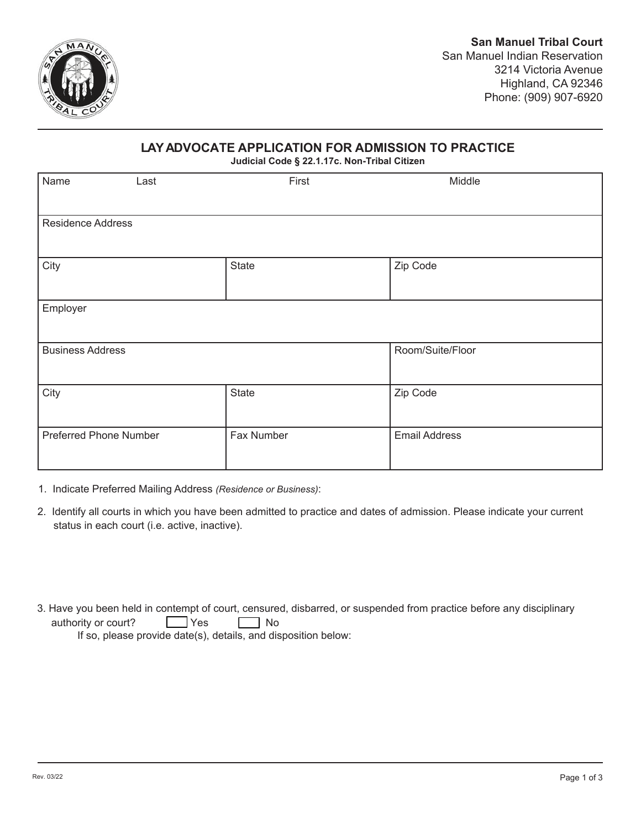

## **LAYADVOCATE APPLICATION FOR ADMISSION TO PRACTICE**

**Judicial Code § 22.1.17c. Non-Tribal Citizen**

| Name                          | Last | First        | Middle               |  |  |
|-------------------------------|------|--------------|----------------------|--|--|
| <b>Residence Address</b>      |      |              |                      |  |  |
| City                          |      | <b>State</b> | Zip Code             |  |  |
| Employer                      |      |              |                      |  |  |
| <b>Business Address</b>       |      |              | Room/Suite/Floor     |  |  |
| City                          |      | State        | Zip Code             |  |  |
| <b>Preferred Phone Number</b> |      | Fax Number   | <b>Email Address</b> |  |  |

- 1. Indicate Preferred Mailing Address *(Residence or Business)*:
- 2. Identify all courts in which you have been admitted to practice and dates of admission. Please indicate your current status in each court (i.e. active, inactive).
- 3. Have you been held in contempt of court, censured, disbarred, or suspended from practice before any disciplinary authority or court? The Yes The No If so, please provide date(s), details, and disposition below: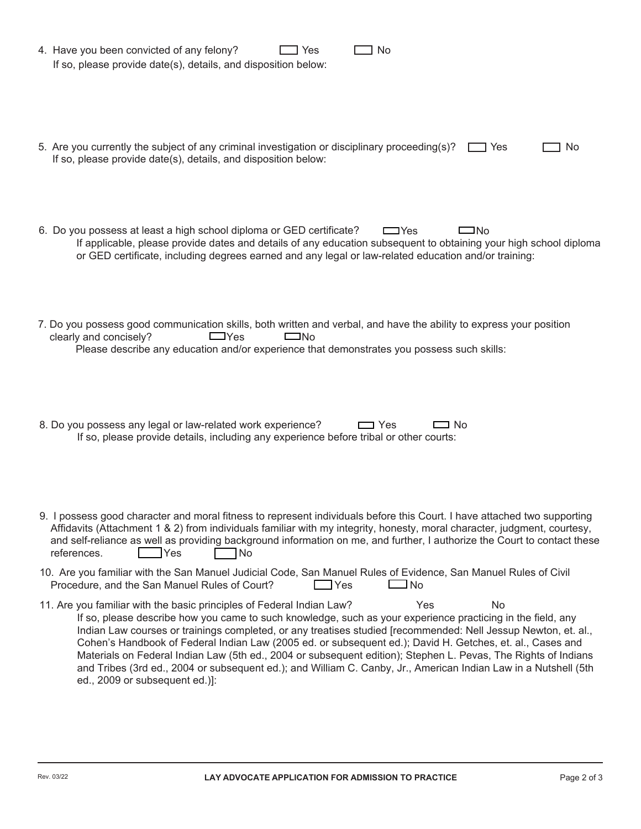| 4. Have you been convicted of any felony?<br>No<br>Yes<br>If so, please provide date(s), details, and disposition below:                                                                                                                                                                                                                                                                                                                                                                                                                                                                                                                                                                                |
|---------------------------------------------------------------------------------------------------------------------------------------------------------------------------------------------------------------------------------------------------------------------------------------------------------------------------------------------------------------------------------------------------------------------------------------------------------------------------------------------------------------------------------------------------------------------------------------------------------------------------------------------------------------------------------------------------------|
| 5. Are you currently the subject of any criminal investigation or disciplinary proceeding(s)?<br>□ Yes<br>No.<br>If so, please provide date(s), details, and disposition below:                                                                                                                                                                                                                                                                                                                                                                                                                                                                                                                         |
| 6. Do you possess at least a high school diploma or GED certificate?<br>$\Box$ No<br>$\Box$ Yes<br>If applicable, please provide dates and details of any education subsequent to obtaining your high school diploma<br>or GED certificate, including degrees earned and any legal or law-related education and/or training:                                                                                                                                                                                                                                                                                                                                                                            |
| 7. Do you possess good communication skills, both written and verbal, and have the ability to express your position<br>clearly and concisely?<br>$\Box$ Yes<br>$\Box$ No<br>Please describe any education and/or experience that demonstrates you possess such skills:                                                                                                                                                                                                                                                                                                                                                                                                                                  |
| 8. Do you possess any legal or law-related work experience?<br>$\Box$ Yes<br>I No<br>If so, please provide details, including any experience before tribal or other courts:                                                                                                                                                                                                                                                                                                                                                                                                                                                                                                                             |
| 9. I possess good character and moral fitness to represent individuals before this Court. I have attached two supporting<br>Affidavits (Attachment 1 & 2) from individuals familiar with my integrity, honesty, moral character, judgment, courtesy,<br>and self-reliance as well as providing background information on me, and further, I authorize the Court to contact these<br><b>Yes</b><br>references.<br> No                                                                                                                                                                                                                                                                                    |
| 10. Are you familiar with the San Manuel Judicial Code, San Manuel Rules of Evidence, San Manuel Rules of Civil<br>هN I<br>Procedure, and the San Manuel Rules of Court?<br>$\exists$ Yes                                                                                                                                                                                                                                                                                                                                                                                                                                                                                                               |
| 11. Are you familiar with the basic principles of Federal Indian Law?<br>Yes<br>No<br>If so, please describe how you came to such knowledge, such as your experience practicing in the field, any<br>Indian Law courses or trainings completed, or any treatises studied [recommended: Nell Jessup Newton, et. al.,<br>Cohen's Handbook of Federal Indian Law (2005 ed. or subsequent ed.); David H. Getches, et. al., Cases and<br>Materials on Federal Indian Law (5th ed., 2004 or subsequent edition); Stephen L. Pevas, The Rights of Indians<br>and Tribes (3rd ed., 2004 or subsequent ed.); and William C. Canby, Jr., American Indian Law in a Nutshell (5th<br>ed., 2009 or subsequent ed.)]: |
|                                                                                                                                                                                                                                                                                                                                                                                                                                                                                                                                                                                                                                                                                                         |